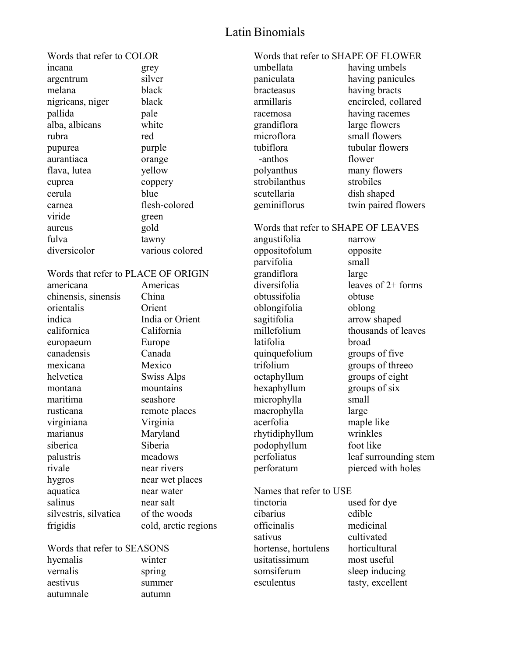# Latin Binomials

#### Words that refer to COLOR

| incana           | grey            |
|------------------|-----------------|
| argentrum        | silver          |
| melana           | black           |
| nigricans, niger | black           |
| pallida          | pale            |
| alba, albicans   | white           |
| rubra            | red             |
| pupurea          | purple          |
| aurantiaca       | orange          |
| flava, lutea     | yellow          |
| cuprea           | coppery         |
| cerula           | blue            |
| carnea           | flesh-colored   |
| viride           | green           |
| aureus           | gold            |
| fulva            | tawny           |
| diversicolor     | various colored |
|                  |                 |

#### Words that refer to PLACE OF ORIGIN

americana Americas chinensis, sinensis China orientalis Orient indica India or Orient californica California europaeum Europe canadensis Canada mexicana Mexico helvetica Swiss Alps montana mountains maritima seashore rusticana remote places virginiana Virginia marianus Maryland siberica Siberia palustris meadows rivale near rivers hygros near wet places aquatica near water salinus near salt silvestris, silvatica of the woods frigidis cold, arctic regions

### Words that refer to SEASONS hyemalis winter vernalis spring aestivus summer autumnale autumn

Words that refer to SHAPE OF FLOWER

umbellata having umbels paniculata having panicules bracteasus having bracts armillaris encircled, collared racemosa having racemes grandiflora large flowers microflora small flowers tubiflora tubular flowers -anthos flower polyanthus many flowers strobilanthus strobiles scutellaria dish shaped geminiflorus twin paired flowers

#### Words that refer to SHAPE OF LEAVES

angustifolia narrow oppositofolum opposite parvifolia small grandiflora large<br>diversifolia leave obtussifolia obtuse oblongifolia oblong sagitifolia arrow shaped latifolia broad quinquefolium groups of five octaphyllum groups of eight hexaphyllum groups of six microphylla small macrophylla large acerfolia maple like rhytidiphyllum wrinkles podophyllum foot like perforatum pierced with holes

leaves of  $2+$  forms millefolium thousands of leaves trifolium groups of threeo perfoliatus leaf surrounding stem

Names that refer to USE

tinctoria used for dye cibarius edible officinalis medicinal sativus cultivated hortense, hortulens horticultural usitatissimum most useful somsiferum sleep inducing esculentus tasty, excellent